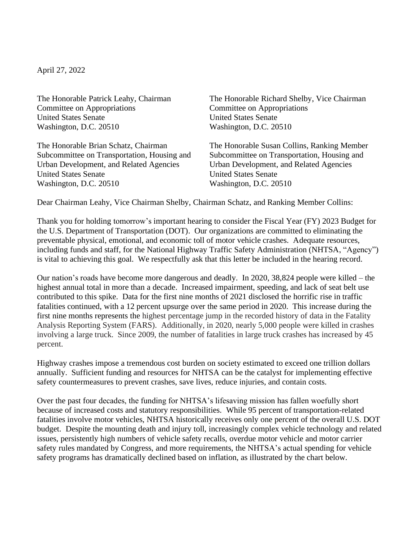April 27, 2022

Committee on Appropriations Committee on Appropriations United States Senate United States Senate Washington, D.C. 20510 Washington, D.C. 20510

Urban Development, and Related Agencies Urban Development, and Related Agencies United States Senate United States Senate Washington, D.C. 20510 Washington, D.C. 20510

The Honorable Patrick Leahy, Chairman The Honorable Richard Shelby, Vice Chairman

The Honorable Brian Schatz, Chairman The Honorable Susan Collins, Ranking Member Subcommittee on Transportation, Housing and Subcommittee on Transportation, Housing and

Dear Chairman Leahy, Vice Chairman Shelby, Chairman Schatz, and Ranking Member Collins:

Thank you for holding tomorrow's important hearing to consider the Fiscal Year (FY) 2023 Budget for the U.S. Department of Transportation (DOT). Our organizations are committed to eliminating the preventable physical, emotional, and economic toll of motor vehicle crashes. Adequate resources, including funds and staff, for the National Highway Traffic Safety Administration (NHTSA, "Agency") is vital to achieving this goal. We respectfully ask that this letter be included in the hearing record.

Our nation's roads have become more dangerous and deadly. In 2020, 38,824 people were killed – the highest annual total in more than a decade. Increased impairment, speeding, and lack of seat belt use contributed to this spike. Data for the first nine months of 2021 disclosed the horrific rise in traffic fatalities continued, with a 12 percent upsurge over the same period in 2020. This increase during the first nine months represents the highest percentage jump in the recorded history of data in the Fatality Analysis Reporting System (FARS). Additionally, in 2020, nearly 5,000 people were killed in crashes involving a large truck. Since 2009, the number of fatalities in large truck crashes has increased by 45 percent.

Highway crashes impose a tremendous cost burden on society estimated to exceed one trillion dollars annually. Sufficient funding and resources for NHTSA can be the catalyst for implementing effective safety countermeasures to prevent crashes, save lives, reduce injuries, and contain costs.

Over the past four decades, the funding for NHTSA's lifesaving mission has fallen woefully short because of increased costs and statutory responsibilities. While 95 percent of transportation-related fatalities involve motor vehicles, NHTSA historically receives only one percent of the overall U.S. DOT budget. Despite the mounting death and injury toll, increasingly complex vehicle technology and related issues, persistently high numbers of vehicle safety recalls, overdue motor vehicle and motor carrier safety rules mandated by Congress, and more requirements, the NHTSA's actual spending for vehicle safety programs has dramatically declined based on inflation, as illustrated by the chart below.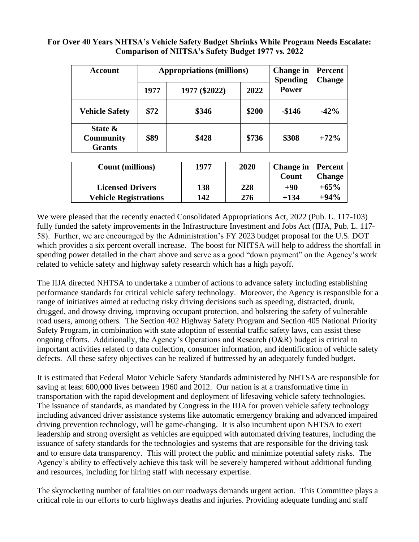| <b>Account</b>                               | <b>Appropriations (millions)</b> |               |       | Change in<br><b>Spending</b> | <b>Percent</b><br><b>Change</b> |
|----------------------------------------------|----------------------------------|---------------|-------|------------------------------|---------------------------------|
|                                              | 1977                             | 1977 (\$2022) | 2022  | <b>Power</b>                 |                                 |
| <b>Vehicle Safety</b>                        | \$72                             | \$346         | \$200 | $-\$146$                     | $-42%$                          |
| State &<br><b>Community</b><br><b>Grants</b> | \$89                             | \$428         | \$736 | \$308                        | $+72%$                          |

## **For Over 40 Years NHTSA's Vehicle Safety Budget Shrinks While Program Needs Escalate: Comparison of NHTSA's Safety Budget 1977 vs. 2022**

| <b>Count (millions)</b>      | 1977 | 2020 | <b>Change in   Percent</b><br>Count | <b>Change</b> |
|------------------------------|------|------|-------------------------------------|---------------|
| <b>Licensed Drivers</b>      | 138  | 228  | $+90$                               | $+65%$        |
| <b>Vehicle Registrations</b> | 142  | 276  | +134                                | $+94%$        |

We were pleased that the recently enacted Consolidated Appropriations Act, 2022 (Pub. L. 117-103) fully funded the safety improvements in the Infrastructure Investment and Jobs Act (IIJA, Pub. L. 117- 58). Further, we are encouraged by the Administration's FY 2023 budget proposal for the U.S. DOT which provides a six percent overall increase. The boost for NHTSA will help to address the shortfall in spending power detailed in the chart above and serve as a good "down payment" on the Agency's work related to vehicle safety and highway safety research which has a high payoff.

The IIJA directed NHTSA to undertake a number of actions to advance safety including establishing performance standards for critical vehicle safety technology. Moreover, the Agency is responsible for a range of initiatives aimed at reducing risky driving decisions such as speeding, distracted, drunk, drugged, and drowsy driving, improving occupant protection, and bolstering the safety of vulnerable road users, among others. The Section 402 Highway Safety Program and Section 405 National Priority Safety Program, in combination with state adoption of essential traffic safety laws, can assist these ongoing efforts. Additionally, the Agency's Operations and Research (O&R) budget is critical to important activities related to data collection, consumer information, and identification of vehicle safety defects. All these safety objectives can be realized if buttressed by an adequately funded budget.

It is estimated that Federal Motor Vehicle Safety Standards administered by NHTSA are responsible for saving at least 600,000 lives between 1960 and 2012. Our nation is at a transformative time in transportation with the rapid development and deployment of lifesaving vehicle safety technologies. The issuance of standards, as mandated by Congress in the IIJA for proven vehicle safety technology including advanced driver assistance systems like automatic emergency braking and advanced impaired driving prevention technology, will be game-changing. It is also incumbent upon NHTSA to exert leadership and strong oversight as vehicles are equipped with automated driving features, including the issuance of safety standards for the technologies and systems that are responsible for the driving task and to ensure data transparency. This will protect the public and minimize potential safety risks. The Agency's ability to effectively achieve this task will be severely hampered without additional funding and resources, including for hiring staff with necessary expertise.

The skyrocketing number of fatalities on our roadways demands urgent action. This Committee plays a critical role in our efforts to curb highways deaths and injuries. Providing adequate funding and staff